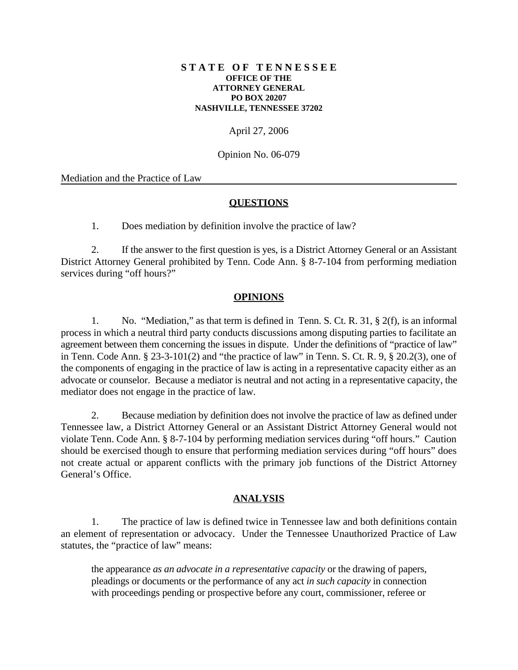## **S T A T E O F T E N N E S S E E OFFICE OF THE ATTORNEY GENERAL PO BOX 20207 NASHVILLE, TENNESSEE 37202**

April 27, 2006

Opinion No. 06-079

Mediation and the Practice of Law

## **QUESTIONS**

1. Does mediation by definition involve the practice of law?

2. If the answer to the first question is yes, is a District Attorney General or an Assistant District Attorney General prohibited by Tenn. Code Ann. § 8-7-104 from performing mediation services during "off hours?"

## **OPINIONS**

1. No. "Mediation," as that term is defined in Tenn. S. Ct. R. 31, § 2(f), is an informal process in which a neutral third party conducts discussions among disputing parties to facilitate an agreement between them concerning the issues in dispute. Under the definitions of "practice of law" in Tenn. Code Ann. § 23-3-101(2) and "the practice of law" in Tenn. S. Ct. R. 9, § 20.2(3), one of the components of engaging in the practice of law is acting in a representative capacity either as an advocate or counselor. Because a mediator is neutral and not acting in a representative capacity, the mediator does not engage in the practice of law.

2. Because mediation by definition does not involve the practice of law as defined under Tennessee law, a District Attorney General or an Assistant District Attorney General would not violate Tenn. Code Ann. § 8-7-104 by performing mediation services during "off hours." Caution should be exercised though to ensure that performing mediation services during "off hours" does not create actual or apparent conflicts with the primary job functions of the District Attorney General's Office.

## **ANALYSIS**

1. The practice of law is defined twice in Tennessee law and both definitions contain an element of representation or advocacy. Under the Tennessee Unauthorized Practice of Law statutes, the "practice of law" means:

the appearance *as an advocate in a representative capacity* or the drawing of papers, pleadings or documents or the performance of any act *in such capacity* in connection with proceedings pending or prospective before any court, commissioner, referee or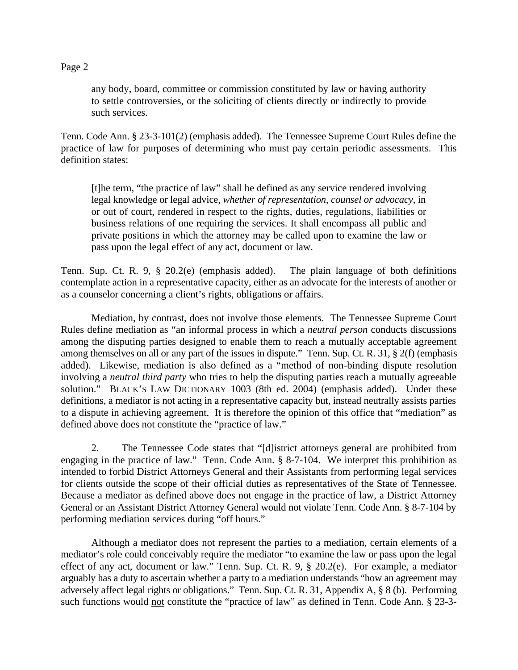any body, board, committee or commission constituted by law or having authority to settle controversies, or the soliciting of clients directly or indirectly to provide such services.

Tenn. Code Ann. § 23-3-101(2) (emphasis added). The Tennessee Supreme Court Rules define the practice of law for purposes of determining who must pay certain periodic assessments. This definition states:

[t]he term, "the practice of law" shall be defined as any service rendered involving legal knowledge or legal advice, *whether of representation, counsel or advocacy*, in or out of court, rendered in respect to the rights, duties, regulations, liabilities or business relations of one requiring the services. It shall encompass all public and private positions in which the attorney may be called upon to examine the law or pass upon the legal effect of any act, document or law.

Tenn. Sup. Ct. R. 9, § 20.2(e) (emphasis added). The plain language of both definitions contemplate action in a representative capacity, either as an advocate for the interests of another or as a counselor concerning a client's rights, obligations or affairs.

Mediation, by contrast, does not involve those elements. The Tennessee Supreme Court Rules define mediation as "an informal process in which a *neutral person* conducts discussions among the disputing parties designed to enable them to reach a mutually acceptable agreement among themselves on all or any part of the issues in dispute." Tenn. Sup. Ct. R. 31, § 2(f) (emphasis added). Likewise, mediation is also defined as a "method of non-binding dispute resolution involving a *neutral third party* who tries to help the disputing parties reach a mutually agreeable solution." BLACK'S LAW DICTIONARY 1003 (8th ed. 2004) (emphasis added). Under these definitions, a mediator is not acting in a representative capacity but, instead neutrally assists parties to a dispute in achieving agreement. It is therefore the opinion of this office that "mediation" as defined above does not constitute the "practice of law."

2. The Tennessee Code states that "[d]istrict attorneys general are prohibited from engaging in the practice of law." Tenn. Code Ann. § 8-7-104. We interpret this prohibition as intended to forbid District Attorneys General and their Assistants from performing legal services for clients outside the scope of their official duties as representatives of the State of Tennessee. Because a mediator as defined above does not engage in the practice of law, a District Attorney General or an Assistant District Attorney General would not violate Tenn. Code Ann. § 8-7-104 by performing mediation services during "off hours."

Although a mediator does not represent the parties to a mediation, certain elements of a mediator's role could conceivably require the mediator "to examine the law or pass upon the legal effect of any act, document or law." Tenn. Sup. Ct. R. 9, § 20.2(e). For example, a mediator arguably has a duty to ascertain whether a party to a mediation understands "how an agreement may adversely affect legal rights or obligations." Tenn. Sup. Ct. R. 31, Appendix A, § 8 (b). Performing such functions would not constitute the "practice of law" as defined in Tenn. Code Ann. § 23-3-

Page 2